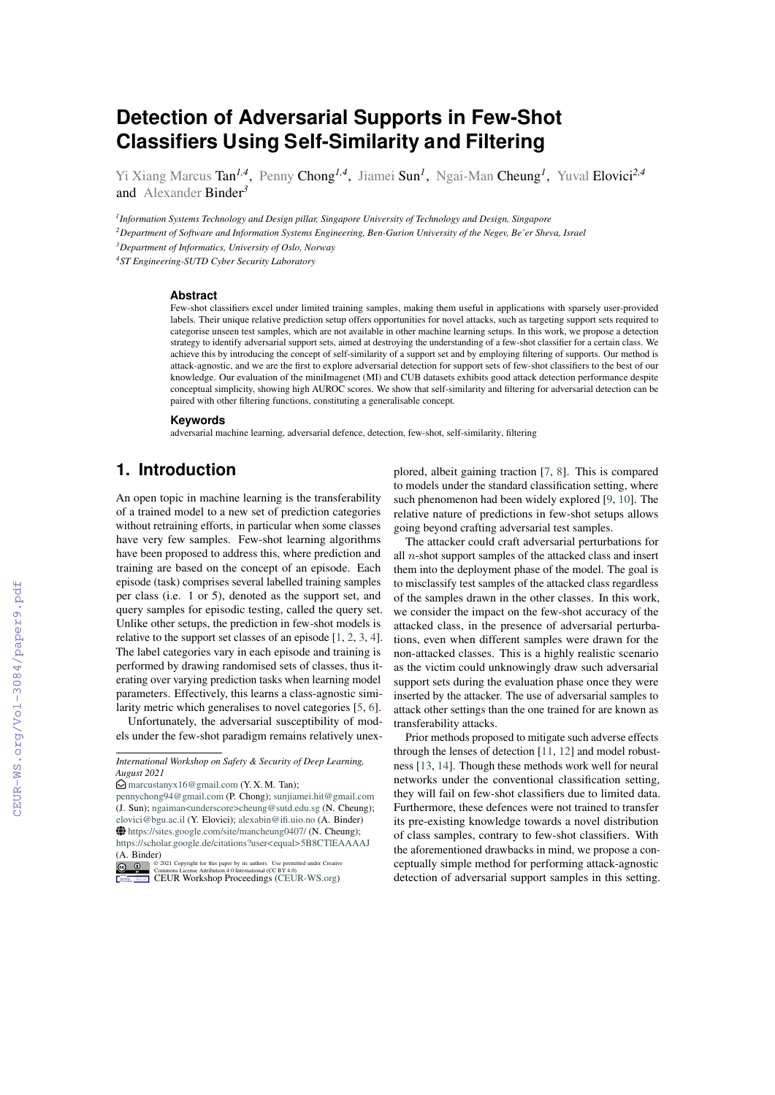# **Detection of Adversarial Supports in Few-**S**hot Classifers Using Self-Similarity and Filtering**

Yi Xiang Marcus Tan<sup>1,4</sup>, Penny Chong<sup>1,4</sup>, Jiamei Sun<sup>1</sup>, Ngai-Man Cheung<sup>1</sup>, Yuval Elovici<sup>2,4</sup> and Alexander Binder*<sup>3</sup>*

*1 Information Systems Technology and Design pillar, Singapore University of Technology and Design, Singapore*

<sup>2</sup>Department of Software and Information Systems Engineering, Ben-Gurion University of the Negev, Be'er Sheva, Israel

*<sup>3</sup>Department of Informatics, University of Oslo, Norway*

*4 ST Engineering-SUTD Cyber Security Laboratory*

#### **Abstract**

Few-shot classifers excel under limited training samples, making them useful in applications with sparsely user-provided labels. Their unique relative prediction setup offers opportunities for novel attacks, such as targeting support sets required to categorise unseen test samples, which are not available in other machine learning setups. In this work, we propose a detection strategy to identify adversarial support sets, aimed at destroying the understanding of a few-shot classifer for a certain class. We achieve this by introducing the concept of self-similarity of a support set and by employing fltering of supports. Our method is attack-agnostic, and we are the frst to explore adversarial detection for support sets of few-shot classifers to the best of our knowledge. Our evaluation of the miniImagenet (MI) and CUB datasets exhibits good attack detection performance despite conceptual simplicity, showing high AUROC scores. We show that self-similarity and fltering for adversarial detection can be paired with other fltering functions, constituting a generalisable concept.

#### **Keywords**

adversarial machine learning, adversarial defence, detection, few-shot, self-similarity, fltering

### **1. Introduction**

An open topic in machine learning is the transferability of a trained model to a new set of prediction categories without retraining efforts, in particular when some classes have very few samples. Few-shot learning algorithms have been proposed to address this, where prediction and training are based on the concept of an episode. Each episode (task) comprises several labelled training samples per class (i.e. 1 or 5), denoted as the support set, and query samples for episodic testing, called the query set. Unlike other setups, the prediction in few-shot models is relative to the support set classes of an episode [\[1,](#page--1-0) [2,](#page--1-1) [3,](#page--1-2) [4\]](#page--1-3). The label categories vary in each episode and training is performed by drawing randomised sets of classes, thus iterating over varying prediction tasks when learning model parameters. Effectively, this learns a class-agnostic similarity metric which generalises to novel categories [\[5,](#page--1-4) [6\]](#page--1-5).

Unfortunately, the adversarial susceptibility of models under the few-shot paradigm remains relatively unex-

[pennychong94@gmail.com](mailto:pennychong94@gmail.com) (P. Chong); [sunjiamei.hit@gmail.com](mailto:sunjiamei.hit@gmail.com) (J. Sun); [ngaiman<underscore>cheung@sutd.edu.sg](mailto:ngaiman<underscore>cheung@sutd.edu.sg) (N. Cheung); [elovici@bgu.ac.il](mailto:elovici@bgu.ac.il) (Y. Elovici); [alexabin@if.uio.no](mailto:alexabin@ifi.uio.no) (A. Binder) ~ <https://sites.google.com/site/mancheung0407/> (N. Cheung); <https://scholar.google.de/citations?user<equal>5B8CTlEAAAAJ> (A. Binder)

**D 0 2021 Commons License Attribution 4.0 Interastional (CC BY 4.0).**<br> **COMMONS License Attribution 4.0 International (CC BY 4.0).**<br> **[CEUR](https://creativecommons.org/licenses/by/4.0) Workshop [Proceedings](http://ceur-ws.org) [\(CEUR-WS.org\)](http://ceur-ws.org)** 

plored, albeit gaining traction [\[7,](#page--1-6) [8\]](#page--1-7). This is compared to models under the standard classifcation setting, where such phenomenon had been widely explored [\[9,](#page--1-8) [10\]](#page--1-9). The relative nature of predictions in few-shot setups allows going beyond crafting adversarial test samples.

The attacker could craft adversarial perturbations for all  $n$ -shot support samples of the attacked class and insert them into the deployment phase of the model. The goal is to misclassify test samples of the attacked class regardless of the samples drawn in the other classes. In this work, we consider the impact on the few-shot accuracy of the attacked class, in the presence of adversarial perturbations, even when different samples were drawn for the non-attacked classes. This is a highly realistic scenario as the victim could unknowingly draw such adversarial support sets during the evaluation phase once they were inserted by the attacker. The use of adversarial samples to attack other settings than the one trained for are known as transferability attacks.

Prior methods proposed to mitigate such adverse effects through the lenses of detection [\[11,](#page--1-10) [12\]](#page--1-11) and model robustness [\[13,](#page--1-12) [14\]](#page--1-13). Though these methods work well for neural networks under the conventional classifcation setting, they will fail on few-shot classifers due to limited data. Furthermore, these defences were not trained to transfer its pre-existing knowledge towards a novel distribution of class samples, contrary to few-shot classifers. With the aforementioned drawbacks in mind, we propose a conceptually simple method for performing attack-agnostic detection of adversarial support samples in this setting.

*International Workshop on Safety & Security of Deep Learning, August 2021*

 $\bigcirc$  [marcustanyx16@gmail.com](mailto:marcustanyx16@gmail.com) (Y. X. M. Tan);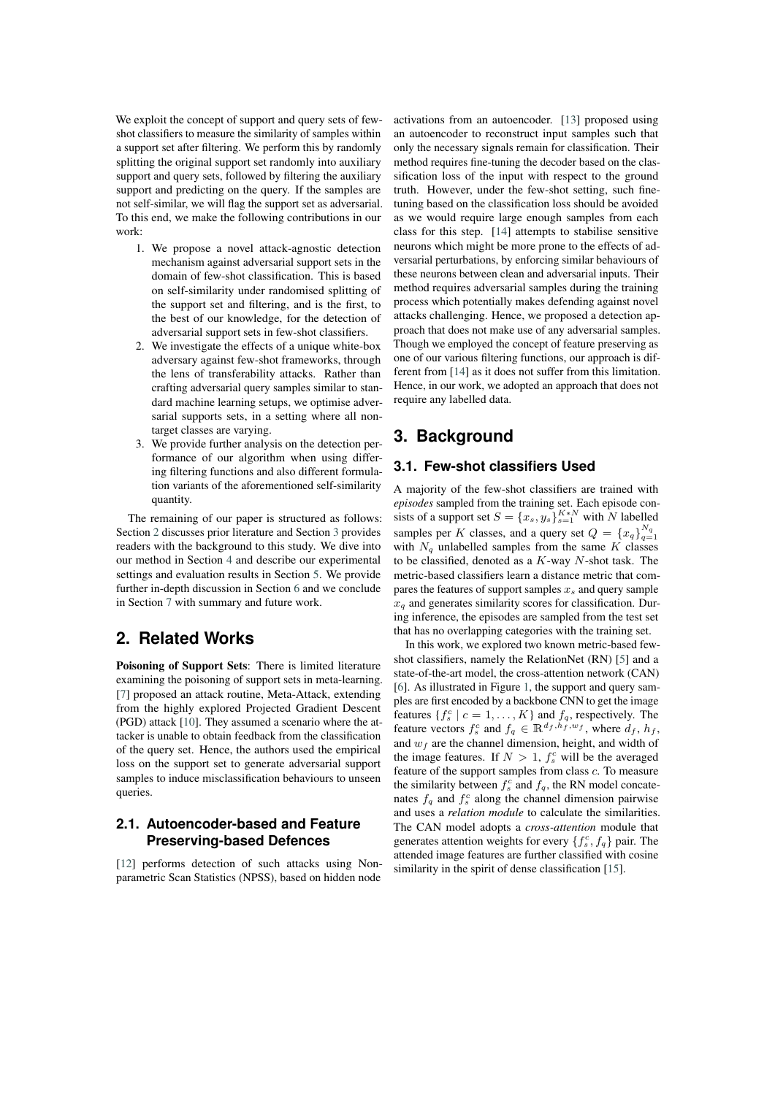We exploit the concept of support and query sets of fewshot classifers to measure the similarity of samples within a support set after fltering. We perform this by randomly splitting the original support set randomly into auxiliary support and query sets, followed by fltering the auxiliary support and predicting on the query. If the samples are not self-similar, we will fag the support set as adversarial. To this end, we make the following contributions in our work:

- 1. We propose a novel attack-agnostic detection mechanism against adversarial support sets in the domain of few-shot classifcation. This is based on self-similarity under randomised splitting of the support set and fltering, and is the frst, to the best of our knowledge, for the detection of adversarial support sets in few-shot classifers.
- 2. We investigate the effects of a unique white-box adversary against few-shot frameworks, through the lens of transferability attacks. Rather than crafting adversarial query samples similar to standard machine learning setups, we optimise adversarial supports sets, in a setting where all nontarget classes are varying.
- 3. We provide further analysis on the detection performance of our algorithm when using differing fltering functions and also different formulation variants of the aforementioned self-similarity quantity.

The remaining of our paper is structured as follows: Section [2](#page-1-0) discusses prior literature and Section [3](#page-1-1) provides readers with the background to this study. We dive into our method in Section [4](#page-2-0) and describe our experimental settings and evaluation results in Section [5.](#page-4-0) We provide further in-depth discussion in Section [6](#page-6-0) and we conclude in Section [7](#page-6-1) with summary and future work.

# <span id="page-1-0"></span>**2. Related Works**

Poisoning of Support Sets: There is limited literature examining the poisoning of support sets in meta-learning. [\[7\]](#page-7-0) proposed an attack routine, Meta-Attack, extending from the highly explored Projected Gradient Descent (PGD) attack [\[10\]](#page-7-1). They assumed a scenario where the attacker is unable to obtain feedback from the classifcation of the query set. Hence, the authors used the empirical loss on the support set to generate adversarial support samples to induce misclassifcation behaviours to unseen queries.

### **2.1. Autoencoder-based and Feature Preserving-based Defences**

[\[12\]](#page-7-2) performs detection of such attacks using Nonparametric Scan Statistics (NPSS), based on hidden node activations from an autoencoder. [\[13\]](#page-7-3) proposed using an autoencoder to reconstruct input samples such that only the necessary signals remain for classifcation. Their method requires fne-tuning the decoder based on the classifcation loss of the input with respect to the ground truth. However, under the few-shot setting, such fnetuning based on the classifcation loss should be avoided as we would require large enough samples from each class for this step. [\[14\]](#page-7-4) attempts to stabilise sensitive neurons which might be more prone to the effects of adversarial perturbations, by enforcing similar behaviours of these neurons between clean and adversarial inputs. Their method requires adversarial samples during the training process which potentially makes defending against novel attacks challenging. Hence, we proposed a detection approach that does not make use of any adversarial samples. Though we employed the concept of feature preserving as one of our various fltering functions, our approach is different from [\[14\]](#page-7-4) as it does not suffer from this limitation. Hence, in our work, we adopted an approach that does not require any labelled data.

# <span id="page-1-1"></span>**3. Background**

### **3.1. Few-shot classifers Used**

A majority of the few-shot classifers are trained with *episodes* sampled from the training set. Each episode consists of a support set  $S = \{x_s, y_s\}_{s=1}^{K*N}$  with N labelled samples per K classes, and a query set  $Q = \{x_q\}_{q=1}^{N_q}$ with  $N_q$  unlabelled samples from the same K classes to be classified, denoted as a  $K$ -way  $N$ -shot task. The metric-based classifers learn a distance metric that compares the features of support samples  $x_s$  and query sample  $x_q$  and generates similarity scores for classification. During inference, the episodes are sampled from the test set that has no overlapping categories with the training set.

In this work, we explored two known metric-based fewshot classifers, namely the RelationNet (RN) [\[5\]](#page-7-5) and a state-of-the-art model, the cross-attention network (CAN) [\[6\]](#page-7-6). As illustrated in Figure [1,](#page-2-1) the support and query samples are frst encoded by a backbone CNN to get the image features  $\{f_s^c \mid c = 1, \ldots, K\}$  and  $f_q$ , respectively. The feature vectors  $f_s^c$  and  $f_q \in \mathbb{R}^{d_f, h_f, w_f}$ , where  $d_f, h_f$ , and  $w_f$  are the channel dimension, height, and width of the image features. If  $N > 1$ ,  $f_s^c$  will be the averaged feature of the support samples from class  $c$ . To measure the similarity between  $f_s^c$  and  $f_q$ , the RN model concatenates  $f_q$  and  $f_s^c$  along the channel dimension pairwise and uses a *relation module* to calculate the similarities. The CAN model adopts a *cross-attention* module that generates attention weights for every  $\{f_s^c, f_q\}$  pair. The attended image features are further classifed with cosine similarity in the spirit of dense classification [\[15\]](#page-7-7).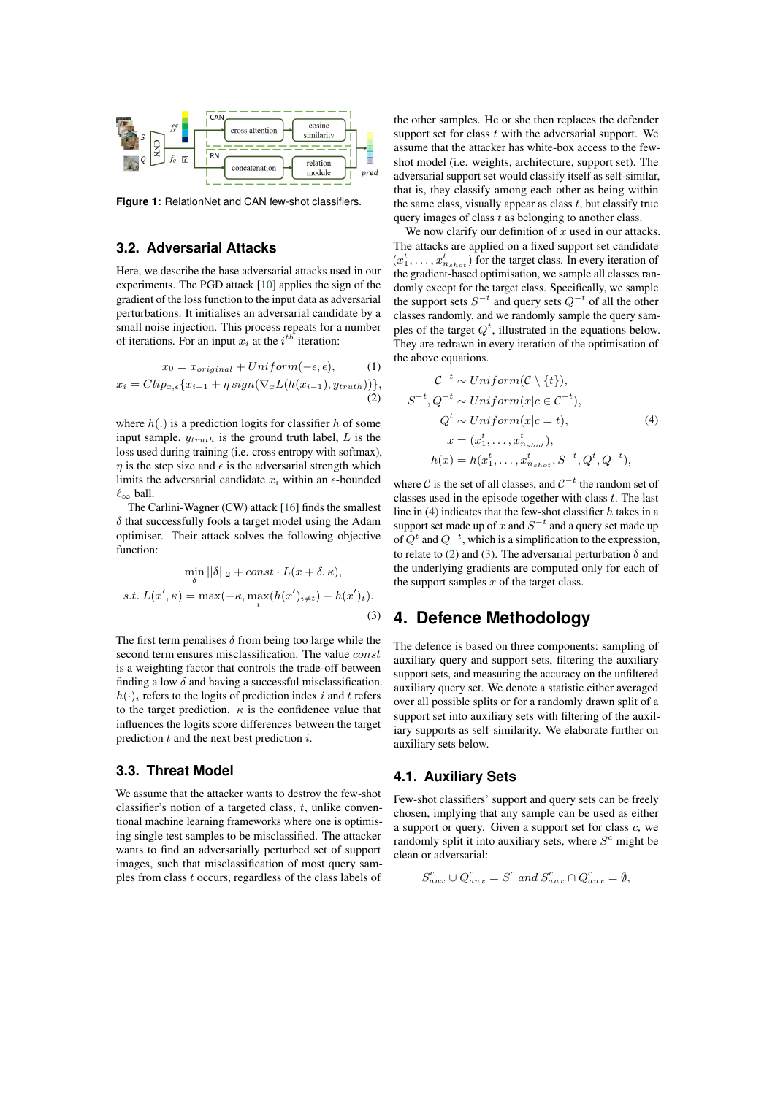<span id="page-2-1"></span>

**Figure 1:** RelationNet and CAN few-shot classifers.

### **3.2. Adversarial Attacks**

Here, we describe the base adversarial attacks used in our experiments. The PGD attack [\[10\]](#page-7-1) applies the sign of the gradient of the loss function to the input data as adversarial perturbations. It initialises an adversarial candidate by a small noise injection. This process repeats for a number of iterations. For an input  $x_i$  at the  $i^{th}$  iteration:

$$
x_0 = x_{original} + Uniform(-\epsilon, \epsilon), \qquad (1)
$$

$$
x_i = Clip_{x,\epsilon}\lbrace x_{i-1} + \eta \, sign(\nabla_x L(h(x_{i-1}), y_{truth}))\rbrace,
$$
\n(2)

where  $h(.)$  is a prediction logits for classifier h of some input sample,  $y_{truth}$  is the ground truth label,  $L$  is the loss used during training (i.e. cross entropy with softmax),  $\eta$  is the step size and  $\epsilon$  is the adversarial strength which limits the adversarial candidate  $x_i$  within an  $\epsilon$ -bounded  $\ell_\infty$  ball.

The Carlini-Wagner (CW) attack [\[16\]](#page-7-8) fnds the smallest  $\delta$  that successfully fools a target model using the Adam optimiser. Their attack solves the following objective function:

<span id="page-2-4"></span>
$$
\min_{\delta} ||\delta||_2 + const \cdot L(x + \delta, \kappa),
$$
  
s.t.  $L(x', \kappa) = \max(-\kappa, \max_i(h(x')_{i \neq t}) - h(x')_t).$  (3)

The first term penalises  $\delta$  from being too large while the second term ensures misclassification. The value *const* is a weighting factor that controls the trade-off between finding a low  $\delta$  and having a successful misclassification.  $h(\cdot)_i$  refers to the logits of prediction index *i* and *t* refers to the target prediction.  $\kappa$  is the confidence value that infuences the logits score differences between the target prediction  $t$  and the next best prediction  $i$ .

### **3.3. Threat Model**

We assume that the attacker wants to destroy the few-shot classifier's notion of a targeted class,  $t$ , unlike conventional machine learning frameworks where one is optimising single test samples to be misclassifed. The attacker wants to fnd an adversarially perturbed set of support images, such that misclassifcation of most query samples from class  $t$  occurs, regardless of the class labels of

the other samples. He or she then replaces the defender support set for class  $t$  with the adversarial support. We assume that the attacker has white-box access to the fewshot model (i.e. weights, architecture, support set). The adversarial support set would classify itself as self-similar, that is, they classify among each other as being within the same class, visually appear as class  $t$ , but classify true query images of class  $t$  as belonging to another class.

We now clarify our definition of  $x$  used in our attacks. The attacks are applied on a fxed support set candidate  $(x_1^t, \ldots, x_{n_{shot}}^t)$  for the target class. In every iteration of the gradient-based optimisation, we sample all classes randomly except for the target class. Specifcally, we sample the support sets  $S^{-t}$  and query sets  $Q^{-t}$  of all the other classes randomly, and we randomly sample the query samples of the target  $Q<sup>t</sup>$ , illustrated in the equations below. They are redrawn in every iteration of the optimisation of the above equations.

<span id="page-2-3"></span><span id="page-2-2"></span>
$$
\mathcal{C}^{-t} \sim Uniform(\mathcal{C} \setminus \{t\}),
$$
  
\n
$$
S^{-t}, Q^{-t} \sim Uniform(x | c \in \mathcal{C}^{-t}),
$$
  
\n
$$
Q^{t} \sim Uniform(x | c = t),
$$
  
\n
$$
x = (x_1^t, \dots, x_{n_{shot}}^t),
$$
  
\n
$$
h(x) = h(x_1^t, \dots, x_{n_{shot}}^t, S^{-t}, Q^{t}, Q^{-t}),
$$
\n(4)

where C is the set of all classes, and  $C^{-t}$  the random set of classes used in the episode together with class  $t$ . The last line in  $(4)$  indicates that the few-shot classifier h takes in a support set made up of x and  $S^{-t}$  and a query set made up of  $Q^t$  and  $Q^{-t}$ , which is a simplification to the expression, to relate to [\(2\)](#page-2-3) and [\(3\)](#page-2-4). The adversarial perturbation  $\delta$  and the underlying gradients are computed only for each of the support samples  $x$  of the target class.

## <span id="page-2-0"></span>**4. Defence Methodology**

The defence is based on three components: sampling of auxiliary query and support sets, fltering the auxiliary support sets, and measuring the accuracy on the unfltered auxiliary query set. We denote a statistic either averaged over all possible splits or for a randomly drawn split of a support set into auxiliary sets with fltering of the auxiliary supports as self-similarity. We elaborate further on auxiliary sets below.

### **4.1. Auxiliary Sets**

Few-shot classifers' support and query sets can be freely chosen, implying that any sample can be used as either a support or query. Given a support set for class  $c$ , we randomly split it into auxiliary sets, where  $S<sup>c</sup>$  might be clean or adversarial:

$$
S_{aux}^c \cup Q_{aux}^c = S^c \text{ and } S_{aux}^c \cap Q_{aux}^c = \emptyset,
$$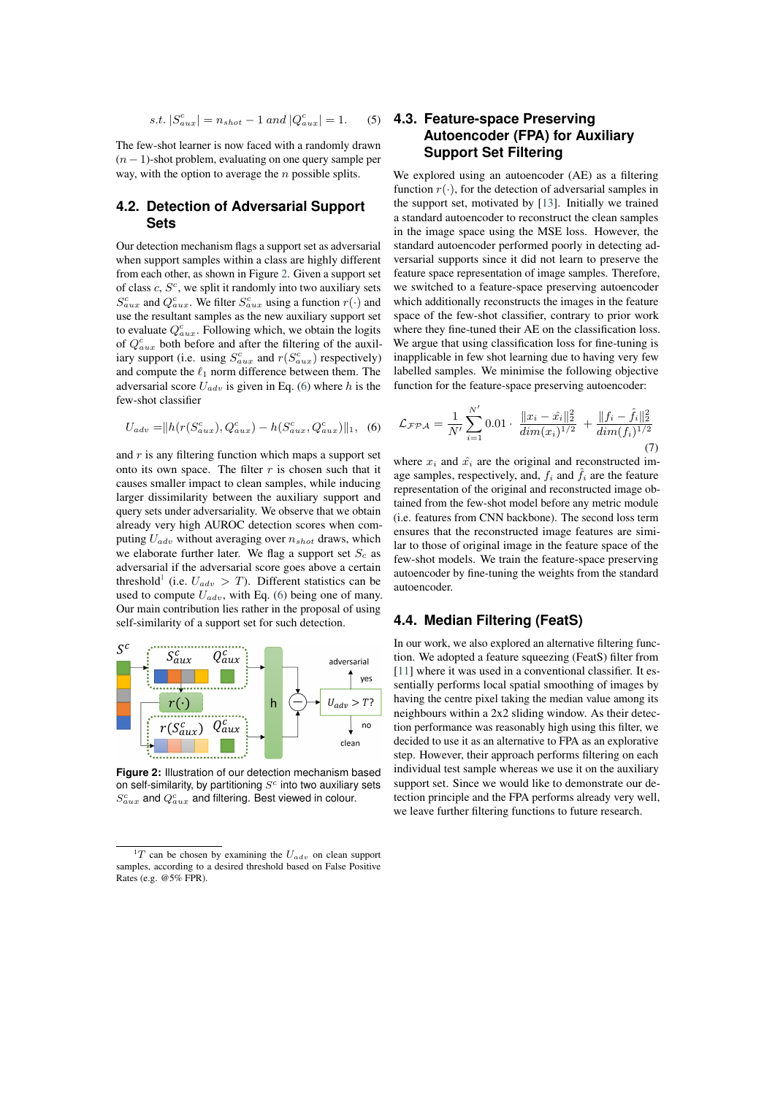$$
s.t. |S_{aux}^c| = n_{shot} - 1 \text{ and } |Q_{aux}^c| = 1.
$$
 (5)

The few-shot learner is now faced with a randomly drawn  $(n - 1)$ -shot problem, evaluating on one query sample per way, with the option to average the  $n$  possible splits.

### <span id="page-3-3"></span>**4.2. Detection of Adversarial Support Sets**

Our detection mechanism fags a support set as adversarial when support samples within a class are highly different from each other, as shown in Figure [2.](#page-3-0) Given a support set of class  $c, S<sup>c</sup>$ , we split it randomly into two auxiliary sets  $S_{aux}^c$  and  $Q_{aux}^c$ . We filter  $S_{aux}^c$  using a function  $r(\cdot)$  and use the resultant samples as the new auxiliary support set to evaluate  $Q_{aux}^c$ . Following which, we obtain the logits of  $Q_{aux}^c$  both before and after the filtering of the auxiliary support (i.e. using  $S_{aux}^c$  and  $r(S_{aux}^c)$  respectively) and compute the  $\ell_1$  norm difference between them. The adversarial score  $U_{adv}$  is given in Eq. [\(6\)](#page-3-1) where h is the few-shot classifer

<span id="page-3-1"></span>
$$
U_{adv} = ||h(r(S_{aux}^c), Q_{aux}^c) - h(S_{aux}^c, Q_{aux}^c)||_1, (6)
$$

and  $r$  is any filtering function which maps a support set onto its own space. The filter  $r$  is chosen such that it causes smaller impact to clean samples, while inducing larger dissimilarity between the auxiliary support and query sets under adversariality. We observe that we obtain already very high AUROC detection scores when computing  $U_{adv}$  without averaging over  $n_{shot}$  draws, which we elaborate further later. We flag a support set  $S_c$  as adversarial if the adversarial score goes above a certain threshold<sup>[1](#page-3-2)</sup> (i.e.  $U_{adv} > T$ ). Different statistics can be used to compute  $U_{adv}$ , with Eq. [\(6\)](#page-3-1) being one of many. Our main contribution lies rather in the proposal of using self-similarity of a support set for such detection.

<span id="page-3-0"></span>

**Figure 2:** Illustration of our detection mechanism based on self-similarity, by partitioning  $S<sup>c</sup>$  into two auxiliary sets  $S_{aux}^c$  and  $Q_{aux}^c$  and filtering. Best viewed in colour.

### **4.3. Feature-space Preserving Autoencoder (FPA) for Auxiliary Support Set Filtering**

We explored using an autoencoder (AE) as a filtering function  $r(\cdot)$ , for the detection of adversarial samples in the support set, motivated by [\[13\]](#page-7-3). Initially we trained a standard autoencoder to reconstruct the clean samples in the image space using the MSE loss. However, the standard autoencoder performed poorly in detecting adversarial supports since it did not learn to preserve the feature space representation of image samples. Therefore, we switched to a feature-space preserving autoencoder which additionally reconstructs the images in the feature space of the few-shot classifer, contrary to prior work where they fne-tuned their AE on the classifcation loss. We argue that using classification loss for fine-tuning is inapplicable in few shot learning due to having very few labelled samples. We minimise the following objective function for the feature-space preserving autoencoder:

<span id="page-3-4"></span>
$$
\mathcal{L}_{\mathcal{FPA}} = \frac{1}{N'} \sum_{i=1}^{N'} 0.01 \cdot \frac{\|x_i - \hat{x}_i\|_2^2}{\dim(x_i)^{1/2}} + \frac{\|f_i - \hat{f}_i\|_2^2}{\dim(f_i)^{1/2}}
$$
(7)

where  $x_i$  and  $\hat{x_i}$  are the original and reconstructed image samples, respectively, and,  $f_i$  and  $\hat{f}_i$  are the feature representation of the original and reconstructed image obtained from the few-shot model before any metric module (i.e. features from CNN backbone). The second loss term ensures that the reconstructed image features are similar to those of original image in the feature space of the few-shot models. We train the feature-space preserving autoencoder by fne-tuning the weights from the standard autoencoder.

### **4.4. Median Filtering (FeatS)**

In our work, we also explored an alternative fltering function. We adopted a feature squeezing (FeatS) flter from [\[11\]](#page-7-9) where it was used in a conventional classifier. It essentially performs local spatial smoothing of images by having the centre pixel taking the median value among its neighbours within a 2x2 sliding window. As their detection performance was reasonably high using this flter, we decided to use it as an alternative to FPA as an explorative step. However, their approach performs fltering on each individual test sample whereas we use it on the auxiliary support set. Since we would like to demonstrate our detection principle and the FPA performs already very well, we leave further fltering functions to future research.

<span id="page-3-2"></span><sup>&</sup>lt;sup>1</sup>T can be chosen by examining the  $U_{adv}$  on clean support samples, according to a desired threshold based on False Positive Rates (e.g. @5% FPR).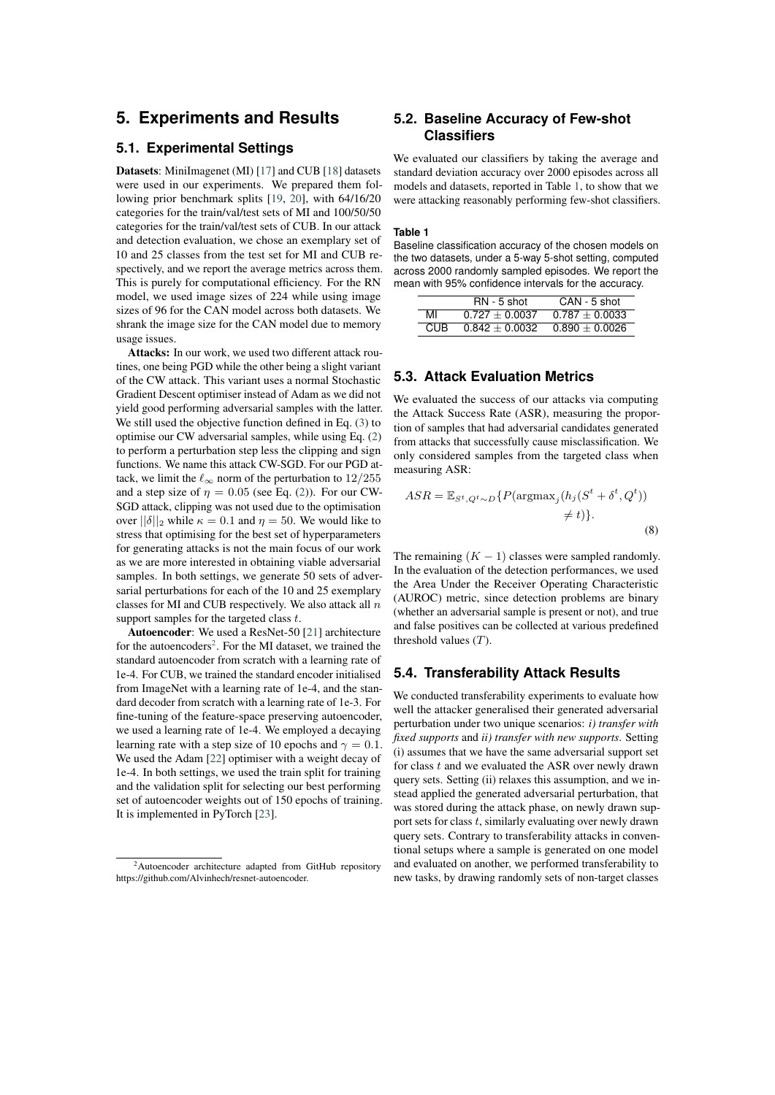### <span id="page-4-0"></span>**5. Experiments and Results**

### **5.1. Experimental Settings**

Datasets: MiniImagenet (MI) [\[17\]](#page-7-10) and CUB [\[18\]](#page-7-11) datasets were used in our experiments. We prepared them following prior benchmark splits [\[19,](#page-7-12) [20\]](#page-7-13), with 64/16/20 categories for the train/val/test sets of MI and 100/50/50 categories for the train/val/test sets of CUB. In our attack and detection evaluation, we chose an exemplary set of 10 and 25 classes from the test set for MI and CUB respectively, and we report the average metrics across them. This is purely for computational efficiency. For the RN model, we used image sizes of 224 while using image sizes of 96 for the CAN model across both datasets. We shrank the image size for the CAN model due to memory usage issues.

Attacks: In our work, we used two different attack routines, one being PGD while the other being a slight variant of the CW attack. This variant uses a normal Stochastic Gradient Descent optimiser instead of Adam as we did not yield good performing adversarial samples with the latter. We still used the objective function defned in Eq. [\(3\)](#page-2-4) to optimise our CW adversarial samples, while using Eq. [\(2\)](#page-2-3) to perform a perturbation step less the clipping and sign functions. We name this attack CW-SGD. For our PGD attack, we limit the  $\ell_{\infty}$  norm of the perturbation to 12/255 and a step size of  $\eta = 0.05$  (see Eq. [\(2\)](#page-2-3)). For our CW-SGD attack, clipping was not used due to the optimisation over  $||\delta||_2$  while  $\kappa = 0.1$  and  $\eta = 50$ . We would like to stress that optimising for the best set of hyperparameters for generating attacks is not the main focus of our work as we are more interested in obtaining viable adversarial samples. In both settings, we generate 50 sets of adversarial perturbations for each of the 10 and 25 exemplary classes for MI and CUB respectively. We also attack all  $n$ support samples for the targeted class  $t$ .

Autoencoder: We used a ResNet-50 [\[21\]](#page-7-14) architecture for the autoencoders<sup>[2](#page-4-1)</sup>. For the MI dataset, we trained the standard autoencoder from scratch with a learning rate of 1e-4. For CUB, we trained the standard encoder initialised from ImageNet with a learning rate of 1e-4, and the standard decoder from scratch with a learning rate of 1e-3. For fne-tuning of the feature-space preserving autoencoder, we used a learning rate of 1e-4. We employed a decaying learning rate with a step size of 10 epochs and  $\gamma = 0.1$ . We used the Adam [\[22\]](#page-7-15) optimiser with a weight decay of 1e-4. In both settings, we used the train split for training and the validation split for selecting our best performing set of autoencoder weights out of 150 epochs of training. It is implemented in PyTorch [\[23\]](#page-7-16).

### **5.2. Baseline Accuracy of Few-shot Classifers**

We evaluated our classifers by taking the average and standard deviation accuracy over 2000 episodes across all models and datasets, reported in Table [1,](#page-4-2) to show that we were attacking reasonably performing few-shot classifers.

#### <span id="page-4-2"></span>**Table 1**

Baseline classification accuracy of the chosen models on the two datasets, under a 5-way 5-shot setting, computed across 2000 randomly sampled episodes. We report the mean with 95% confdence intervals for the accuracy.

|      | RN - 5 shot      | CAN - 5 shot     |
|------|------------------|------------------|
| МI   | $0.727 + 0.0037$ | $0.787 + 0.0033$ |
| CUR. | $0.842 + 0.0032$ | $0.890 + 0.0026$ |

#### **5.3. Attack Evaluation Metrics**

We evaluated the success of our attacks via computing the Attack Success Rate (ASR), measuring the proportion of samples that had adversarial candidates generated from attacks that successfully cause misclassifcation. We only considered samples from the targeted class when measuring ASR:

$$
ASR = \mathbb{E}_{S^t, Q^t \sim D} \{ P(\text{argmax}_j (h_j (S^t + \delta^t, Q^t))
$$
  

$$
\neq t) \}.
$$
 (8)

The remaining  $(K - 1)$  classes were sampled randomly. In the evaluation of the detection performances, we used the Area Under the Receiver Operating Characteristic (AUROC) metric, since detection problems are binary (whether an adversarial sample is present or not), and true and false positives can be collected at various predefned threshold values  $(T)$ .

#### **5.4. Transferability Attack Results**

We conducted transferability experiments to evaluate how well the attacker generalised their generated adversarial perturbation under two unique scenarios: *i) transfer with fxed supports* and *ii) transfer with new supports*. Setting (i) assumes that we have the same adversarial support set for class  $t$  and we evaluated the ASR over newly drawn query sets. Setting (ii) relaxes this assumption, and we instead applied the generated adversarial perturbation, that was stored during the attack phase, on newly drawn support sets for class  $t$ , similarly evaluating over newly drawn query sets. Contrary to transferability attacks in conventional setups where a sample is generated on one model and evaluated on another, we performed transferability to new tasks, by drawing randomly sets of non-target classes

<span id="page-4-1"></span><sup>&</sup>lt;sup>2</sup>Autoencoder architecture adapted from GitHub repository https://github.com/Alvinhech/resnet-autoencoder.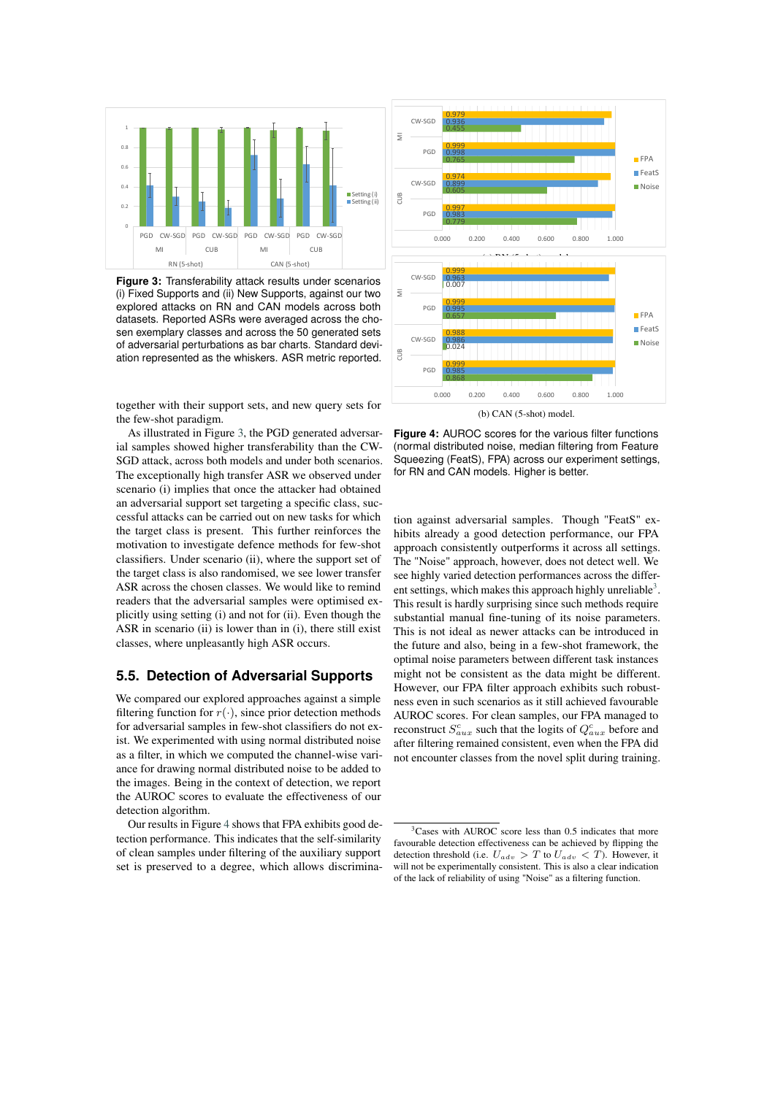<span id="page-5-0"></span>

**Figure 3:** Transferability attack results under scenarios (i) Fixed Supports and (ii) New Supports, against our two explored attacks on RN and CAN models across both datasets. Reported ASRs were averaged across the chosen exemplary classes and across the 50 generated sets of adversarial perturbations as bar charts. Standard deviation represented as the whiskers. ASR metric reported.

together with their support sets, and new query sets for the few-shot paradigm.

As illustrated in Figure [3,](#page-5-0) the PGD generated adversarial samples showed higher transferability than the CW-SGD attack, across both models and under both scenarios. The exceptionally high transfer ASR we observed under scenario (i) implies that once the attacker had obtained an adversarial support set targeting a specifc class, successful attacks can be carried out on new tasks for which the target class is present. This further reinforces the motivation to investigate defence methods for few-shot classifers. Under scenario (ii), where the support set of the target class is also randomised, we see lower transfer ASR across the chosen classes. We would like to remind readers that the adversarial samples were optimised explicitly using setting (i) and not for (ii). Even though the ASR in scenario (ii) is lower than in (i), there still exist classes, where unpleasantly high ASR occurs.

### **5.5. Detection of Adversarial Supports**

We compared our explored approaches against a simple filtering function for  $r(\cdot)$ , since prior detection methods for adversarial samples in few-shot classifers do not exist. We experimented with using normal distributed noise as a flter, in which we computed the channel-wise variance for drawing normal distributed noise to be added to the images. Being in the context of detection, we report the AUROC scores to evaluate the effectiveness of our detection algorithm.

Our results in Figure [4](#page-5-1) shows that FPA exhibits good detection performance. This indicates that the self-similarity of clean samples under fltering of the auxiliary support set is preserved to a degree, which allows discrimina-

<span id="page-5-1"></span>

Figure 4: AUROC scores for the various filter functions (normal distributed noise, median fltering from Feature Squeezing (FeatS), FPA) across our experiment settings, for RN and CAN models. Higher is better.

tion against adversarial samples. Though "FeatS" exhibits already a good detection performance, our FPA approach consistently outperforms it across all settings. The "Noise" approach, however, does not detect well. We see highly varied detection performances across the differ-ent settings, which makes this approach highly unreliable<sup>[3](#page-5-2)</sup>. This result is hardly surprising since such methods require substantial manual fne-tuning of its noise parameters. This is not ideal as newer attacks can be introduced in the future and also, being in a few-shot framework, the optimal noise parameters between different task instances might not be consistent as the data might be different. However, our FPA flter approach exhibits such robustness even in such scenarios as it still achieved favourable AUROC scores. For clean samples, our FPA managed to reconstruct  $S_{aux}^c$  such that the logits of  $Q_{aux}^c$  before and after fltering remained consistent, even when the FPA did not encounter classes from the novel split during training.

<span id="page-5-2"></span><sup>3</sup>Cases with AUROC score less than 0.5 indicates that more favourable detection effectiveness can be achieved by fipping the detection threshold (i.e.  $U_{adv} > T$  to  $U_{adv} < T$ ). However, it will not be experimentally consistent. This is also a clear indication of the lack of reliability of using "Noise" as a fltering function.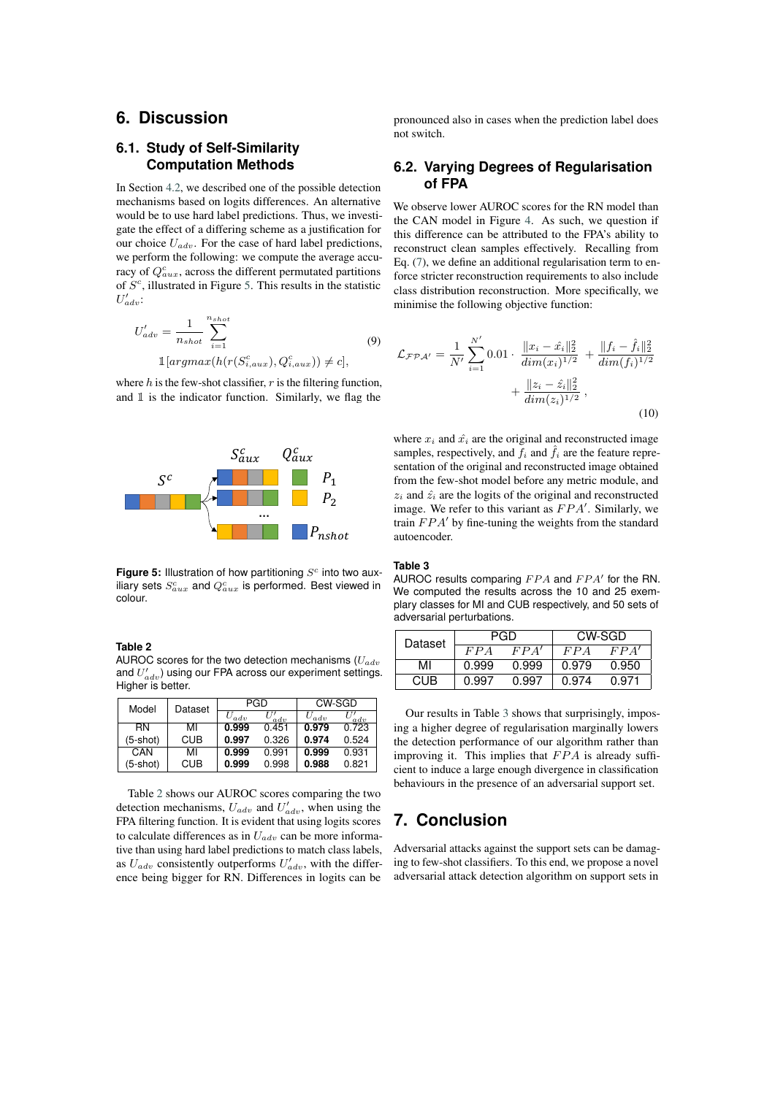### <span id="page-6-0"></span>**6. Discussion**

### **6.1. Study of Self-Similarity Computation Methods**

In Section [4.2,](#page-3-3) we described one of the possible detection mechanisms based on logits differences. An alternative would be to use hard label predictions. Thus, we investigate the effect of a differing scheme as a justifcation for our choice  $U_{adv}$ . For the case of hard label predictions, we perform the following: we compute the average accuracy of  $Q_{aux}^c$ , across the different permutated partitions of  $S<sup>c</sup>$ , illustrated in Figure [5.](#page-6-2) This results in the statistic  $U'_{adv}$ :

$$
U'_{adv} = \frac{1}{n_{shot}} \sum_{i=1}^{n_{shot}} \sum_{i=1}^{N_{shot}} (9)
$$

$$
\mathbb{1}[argmax(h(r(S_{i,aux}^c), Q_{i,aux}^c)) \neq c],
$$

where  $h$  is the few-shot classifier,  $r$  is the filtering function, and 1 is the indicator function. Similarly, we flag the

<span id="page-6-2"></span>

Figure 5: Illustration of how partitioning S<sup>c</sup> into two auxiliary sets  $S^{c}_{aux}$  and  $Q^{c}_{aux}$  is performed. Best viewed in colour.

<span id="page-6-3"></span>**Table 2**

AUROC scores for the two detection mechanisms  $(U_{adv})$ and  $U_{adv}'$ ) using our FPA across our experiment settings. Higher is better.

| Model      | Dataset | PGD       |       | CW-SGD    |       |
|------------|---------|-----------|-------|-----------|-------|
|            |         | $U_{adv}$ | adv   | $U_{adv}$ | adv   |
| <b>RN</b>  | мі      | 0.999     | 0.451 | 0.979     | 0.723 |
| $(5-shot)$ | CUB     | 0.997     | 0.326 | 0.974     | 0.524 |
| CAN        | МΙ      | 0.999     | 0.991 | 0.999     | 0.931 |
| $(5-shot)$ | CUB     | 0.999     | 0.998 | 0.988     | 0.821 |

Table [2](#page-6-3) shows our AUROC scores comparing the two detection mechanisms,  $U_{adv}$  and  $U'_{adv}$ , when using the FPA fltering function. It is evident that using logits scores to calculate differences as in  $U_{adv}$  can be more informative than using hard label predictions to match class labels, as  $U_{adv}$  consistently outperforms  $U'_{adv}$ , with the difference being bigger for RN. Differences in logits can be

pronounced also in cases when the prediction label does not switch.

#### **6.2. Varying Degrees of Regularisation of FPA**

We observe lower AUROC scores for the RN model than the CAN model in Figure [4.](#page-5-1) As such, we question if this difference can be attributed to the FPA's ability to reconstruct clean samples effectively. Recalling from Eq. [\(7\)](#page-3-4), we defne an additional regularisation term to enforce stricter reconstruction requirements to also include class distribution reconstruction. More specifcally, we minimise the following objective function:

$$
\mathcal{L}_{\mathcal{F} \mathcal{P} \mathcal{A}'} = \frac{1}{N'} \sum_{i=1}^{N'} 0.01 \cdot \frac{\|x_i - \hat{x}_i\|_2^2}{\dim(x_i)^{1/2}} + \frac{\|f_i - \hat{f}_i\|_2^2}{\dim(f_i)^{1/2}} + \frac{\|z_i - \hat{z}_i\|_2^2}{\dim(z_i)^{1/2}},
$$
\n(10)

where  $x_i$  and  $\hat{x_i}$  are the original and reconstructed image samples, respectively, and  $f_i$  and  $\hat{f}_i$  are the feature representation of the original and reconstructed image obtained from the few-shot model before any metric module, and  $z_i$  and  $\hat{z_i}$  are the logits of the original and reconstructed image. We refer to this variant as  $FPA'$ . Similarly, we train  $FPA'$  by fine-tuning the weights from the standard autoencoder.

#### <span id="page-6-4"></span>**Table 3**

AUROC results comparing  $FPA$  and  $FPA'$  for the RN. We computed the results across the 10 and 25 exemplary classes for MI and CUB respectively, and 50 sets of adversarial perturbations.

| Dataset |       | PGD   | CW-SGD |       |  |
|---------|-------|-------|--------|-------|--|
|         | FPA   | FPA'  | FPA    | FPA'  |  |
| MI      | 0.999 | 0.999 | 0.979  | 0.950 |  |
| CHR.    | 0.997 | 0.997 | በ 974  | 0.971 |  |

Our results in Table [3](#page-6-4) shows that surprisingly, imposing a higher degree of regularisation marginally lowers the detection performance of our algorithm rather than improving it. This implies that  $FPA$  is already sufficient to induce a large enough divergence in classifcation behaviours in the presence of an adversarial support set.

### <span id="page-6-1"></span>**7. Conclusion**

Adversarial attacks against the support sets can be damaging to few-shot classifers. To this end, we propose a novel adversarial attack detection algorithm on support sets in